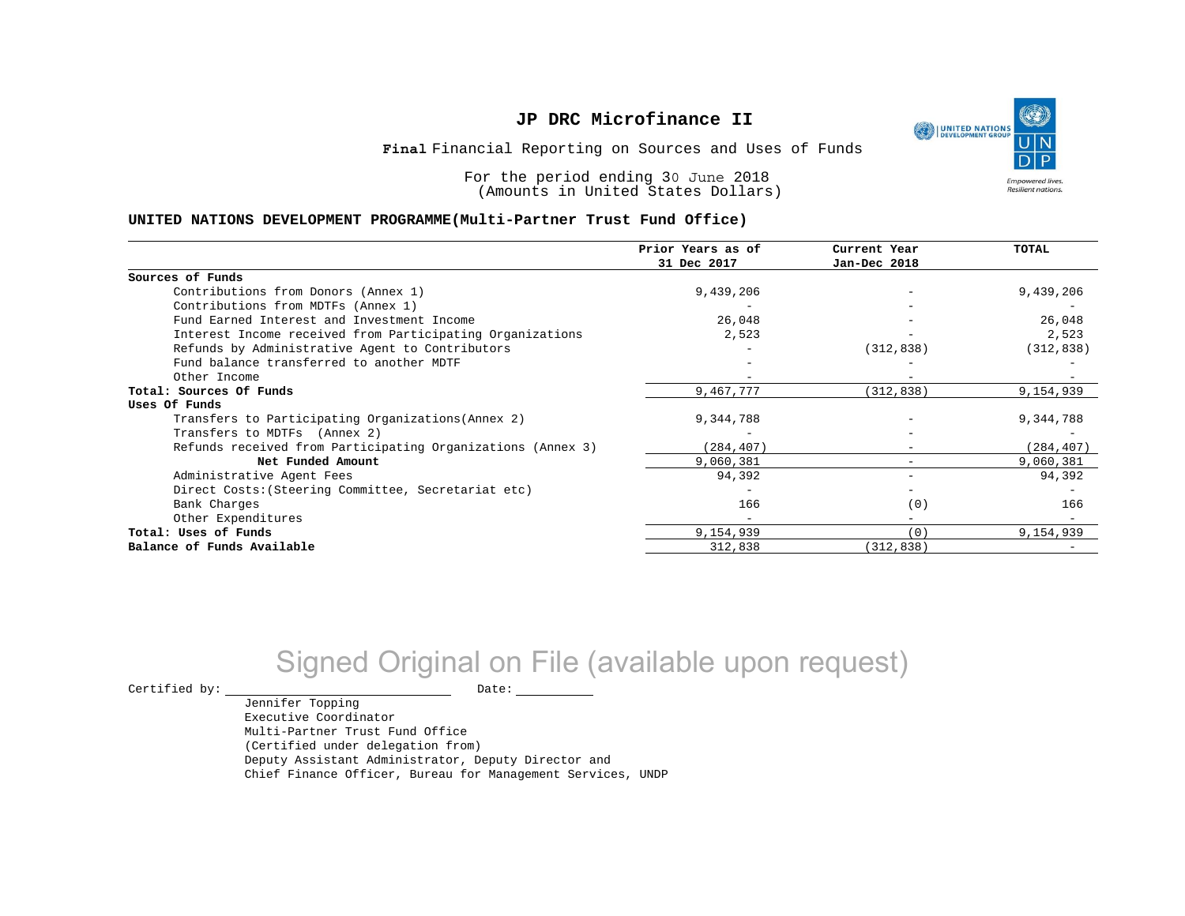

Financial Reporting on Sources and Uses of Funds **Final**

For the period ending 30 June 2018 (Amounts in United States Dollars)

#### **UNITED NATIONS DEVELOPMENT PROGRAMME(Multi-Partner Trust Fund Office)**

|                                                             | Prior Years as of<br>31 Dec 2017 | Current Year<br>Jan-Dec 2018 | TOTAL      |
|-------------------------------------------------------------|----------------------------------|------------------------------|------------|
|                                                             |                                  |                              |            |
| Sources of Funds                                            |                                  |                              |            |
| Contributions from Donors (Annex 1)                         | 9,439,206                        |                              | 9,439,206  |
| Contributions from MDTFs (Annex 1)                          |                                  |                              |            |
| Fund Earned Interest and Investment Income                  | 26,048                           |                              | 26,048     |
| Interest Income received from Participating Organizations   | 2,523                            |                              | 2,523      |
| Refunds by Administrative Agent to Contributors             |                                  | (312, 838)                   | (312, 838) |
| Fund balance transferred to another MDTF                    |                                  |                              |            |
| Other Income                                                |                                  |                              |            |
| Total: Sources Of Funds                                     | 9,467,777                        | (312, 838)                   | 9,154,939  |
| Uses Of Funds                                               |                                  |                              |            |
| Transfers to Participating Organizations (Annex 2)          | 9,344,788                        |                              | 9,344,788  |
| Transfers to MDTFs (Annex 2)                                |                                  |                              |            |
| Refunds received from Participating Organizations (Annex 3) | (284, 407)                       | $\overline{\phantom{m}}$     | (284, 407) |
| Net Funded Amount                                           | 9,060,381                        |                              | 9,060,381  |
| Administrative Agent Fees                                   | 94,392                           | $\overline{\phantom{m}}$     | 94,392     |
| Direct Costs: (Steering Committee, Secretariat etc)         |                                  |                              |            |
| Bank Charges                                                | 166                              | (0)                          | 166        |
| Other Expenditures                                          |                                  |                              |            |
| Total: Uses of Funds                                        | 9,154,939                        | (0)                          | 9,154,939  |
| Balance of Funds Available                                  | 312,838                          | (312, 838)                   |            |

# Signed Original on File (available upon request)

 $\begin{picture}(180,180)(0,0) \put(0,0){\vector(1,0){180}} \put(15,0){\vector(1,0){180}} \put(15,0){\vector(1,0){180}} \put(15,0){\vector(1,0){180}} \put(15,0){\vector(1,0){180}} \put(15,0){\vector(1,0){180}} \put(15,0){\vector(1,0){180}} \put(15,0){\vector(1,0){180}} \put(15,0){\vector(1,0){180}} \put(15,0){\vector(1,0){180}} \put(15,0){\vector(1,0$ 

Jennifer Topping Executive Coordinator Multi-Partner Trust Fund Office (Certified under delegation from) Deputy Assistant Administrator, Deputy Director and Chief Finance Officer, Bureau for Management Services, UNDP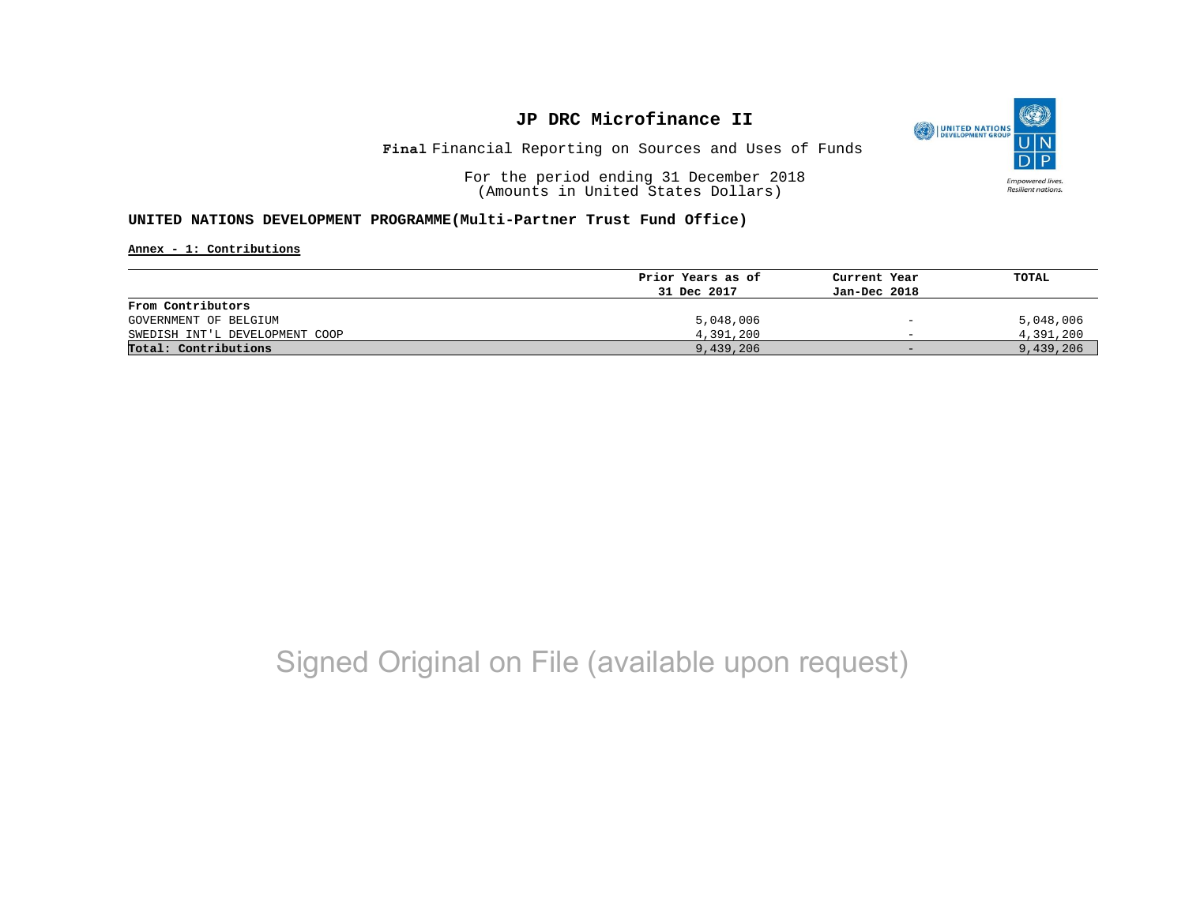

Financial Reporting on Sources and Uses of Funds **Final**

For the period ending 31 December 2018 (Amounts in United States Dollars)

#### **UNITED NATIONS DEVELOPMENT PROGRAMME(Multi-Partner Trust Fund Office)**

**Annex - 1: Contributions**

|                                | Prior Years as of | Current Year                 | TOTAL     |
|--------------------------------|-------------------|------------------------------|-----------|
|                                | 31 Dec 2017       | Jan-Dec 2018                 |           |
| From Contributors              |                   |                              |           |
| GOVERNMENT OF BELGIUM          | 5,048,006         | $\qquad \qquad \blacksquare$ | 5,048,006 |
| SWEDISH INT'L DEVELOPMENT COOP | 4,391,200         | $\overline{\phantom{0}}$     | 4,391,200 |
| Total: Contributions           | 9,439,206         | $-$                          | 9,439,206 |

# Signed Original on File (available upon request)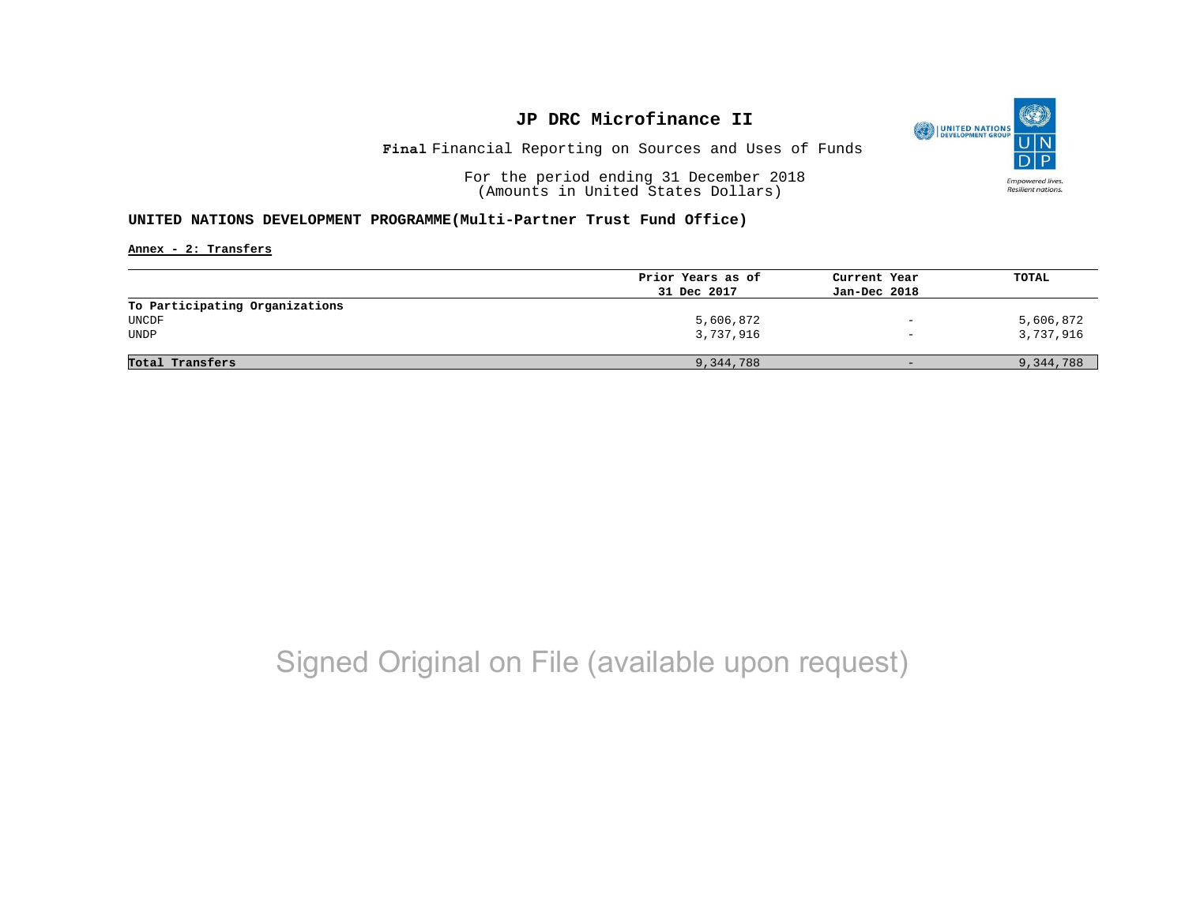

Financial Reporting on Sources and Uses of Funds **Final**

For the period ending 31 December 2018 (Amounts in United States Dollars)

#### **UNITED NATIONS DEVELOPMENT PROGRAMME(Multi-Partner Trust Fund Office)**

**Annex - 2: Transfers**

|                                | Prior Years as of | Current Year      | TOTAL     |
|--------------------------------|-------------------|-------------------|-----------|
|                                | 31 Dec 2017       | Jan-Dec 2018      |           |
| To Participating Organizations |                   |                   |           |
| UNCDF                          | 5,606,872         | $-$               | 5,606,872 |
| UNDP                           | 3,737,916         | $\qquad \qquad -$ | 3,737,916 |
|                                |                   |                   |           |
| Total Transfers                | 9,344,788         | $-$               | 9,344,788 |
|                                |                   |                   |           |

# Signed Original on File (available upon request)